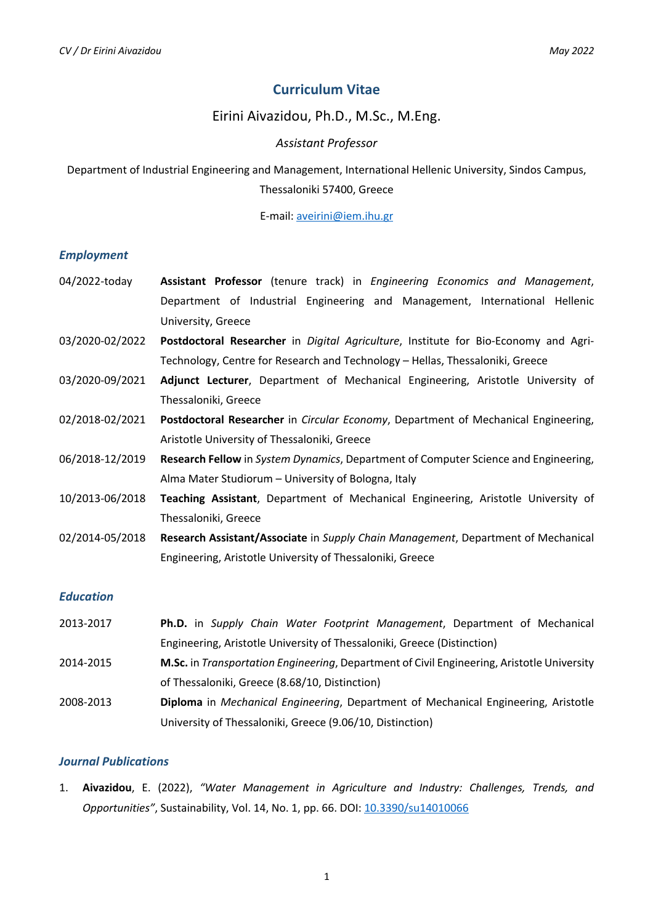# **Curriculum Vitae**

# Eirini Aivazidou, Ph.D., M.Sc., M.Eng.

### *Assistant Professor*

Department of Industrial Engineering and Management, International Hellenic University, Sindos Campus, Thessaloniki 57400, Greece

E-mail: aveirini@iem.ihu.gr

#### *Employment*

- 04/2022-today **Assistant Professor** (tenure track) in *Engineering Economics and Management*, Department of Industrial Engineering and Management, International Hellenic University, Greece
- 03/2020-02/2022 **Postdoctoral Researcher** in *Digital Agriculture*, Institute for Bio-Economy and Agri-Technology, Centre for Research and Technology – Hellas, Thessaloniki, Greece
- 03/2020-09/2021 **Adjunct Lecturer**, Department of Mechanical Engineering, Aristotle University of Thessaloniki, Greece
- 02/2018-02/2021 **Postdoctoral Researcher** in *Circular Economy*, Department of Mechanical Engineering, Aristotle University of Thessaloniki, Greece
- 06/2018-12/2019 **Research Fellow** in *System Dynamics*, Department of Computer Science and Engineering, Alma Mater Studiorum – University of Bologna, Italy
- 10/2013-06/2018 **Teaching Assistant**, Department of Mechanical Engineering, Aristotle University of Thessaloniki, Greece
- 02/2014-05/2018 **Research Assistant/Associate** in *Supply Chain Management*, Department of Mechanical Engineering, Aristotle University of Thessaloniki, Greece

#### *Education*

2013-2017 **Ph.D.** in *Supply Chain Water Footprint Management*, Department of Mechanical Engineering, Aristotle University of Thessaloniki, Greece (Distinction) 2014-2015 **M.Sc.** in *Transportation Engineering*, Department of Civil Engineering, Aristotle University of Thessaloniki, Greece (8.68/10, Distinction) 2008-2013 **Diploma** in *Mechanical Engineering*, Department of Mechanical Engineering, Aristotle University of Thessaloniki, Greece (9.06/10, Distinction)

#### *Journal Publications*

1. **Aivazidou**, E. (2022), *"Water Management in Agriculture and Industry: Challenges, Trends, and Opportunities"*, Sustainability, Vol. 14, No. 1, pp. 66. DOI: 10.3390/su14010066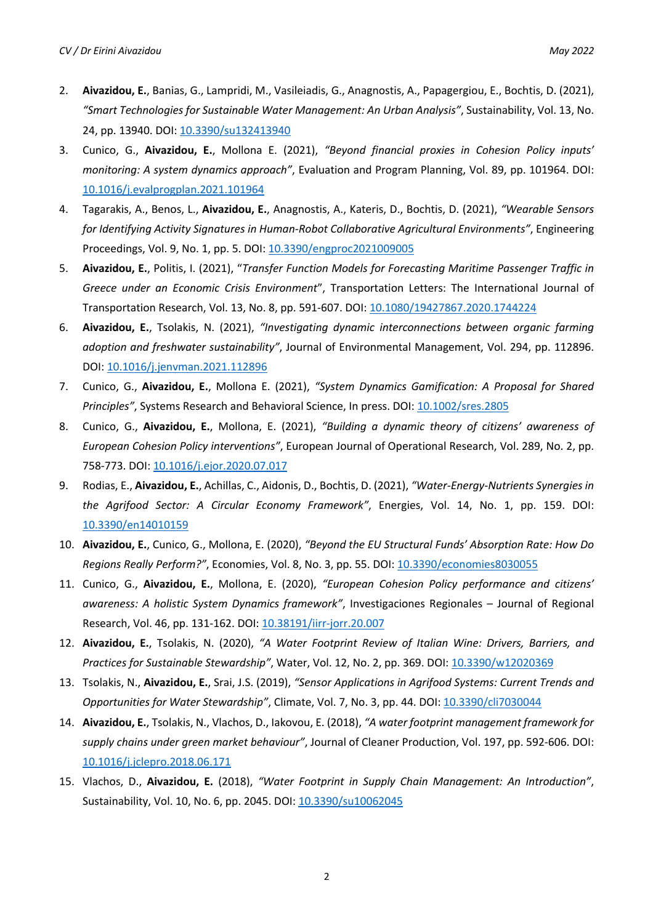- 2. **Aivazidou, E.**, Banias, G., Lampridi, M., Vasileiadis, G., Anagnostis, A., Papagergiou, E., Bochtis, D. (2021), *"Smart Technologies for Sustainable Water Management: An Urban Analysis"*, Sustainability, Vol. 13, No. 24, pp. 13940. DOI: 10.3390/su132413940
- 3. Cunico, G., **Aivazidou, E.**, Mollona E. (2021), *"Beyond financial proxies in Cohesion Policy inputs' monitoring: A system dynamics approach"*, Evaluation and Program Planning, Vol. 89, pp. 101964. DOI: 10.1016/j.evalprogplan.2021.101964
- 4. Tagarakis, A., Benos, L., **Aivazidou, E.**, Anagnostis, A., Kateris, D., Bochtis, D. (2021), *"Wearable Sensors for Identifying Activity Signatures in Human-Robot Collaborative Agricultural Environments"*, Engineering Proceedings, Vol. 9, No. 1, pp. 5. DOI: 10.3390/engproc2021009005
- 5. **Aivazidou, E.**, Politis, I. (2021), "*Transfer Function Models for Forecasting Maritime Passenger Traffic in Greece under an Economic Crisis Environment*", Transportation Letters: The International Journal of Transportation Research, Vol. 13, No. 8, pp. 591-607. DOI: 10.1080/19427867.2020.1744224
- 6. **Aivazidou, E.**, Tsolakis, N. (2021), *"Investigating dynamic interconnections between organic farming adoption and freshwater sustainability"*, Journal of Environmental Management, Vol. 294, pp. 112896. DOI: 10.1016/j.jenvman.2021.112896
- 7. Cunico, G., **Aivazidou, E.**, Mollona E. (2021), *"System Dynamics Gamification: A Proposal for Shared Principles"*, Systems Research and Behavioral Science, In press. DOI: 10.1002/sres.2805
- 8. Cunico, G., **Aivazidou, E.**, Mollona, E. (2021), *"Building a dynamic theory of citizens' awareness of European Cohesion Policy interventions"*, European Journal of Operational Research, Vol. 289, No. 2, pp. 758-773. DOI: 10.1016/j.ejor.2020.07.017
- 9. Rodias, E., **Aivazidou, E.**, Achillas, C., Aidonis, D., Bochtis, D. (2021), *"Water-Energy-Nutrients Synergies in the Agrifood Sector: A Circular Economy Framework"*, Energies, Vol. 14, No. 1, pp. 159. DOI: 10.3390/en14010159
- 10. **Aivazidou, E.**, Cunico, G., Mollona, E. (2020), *"Beyond the EU Structural Funds' Absorption Rate: How Do Regions Really Perform?"*, Economies, Vol. 8, No. 3, pp. 55. DOI: 10.3390/economies8030055
- 11. Cunico, G., **Aivazidou, E.**, Mollona, E. (2020), *"European Cohesion Policy performance and citizens' awareness: A holistic System Dynamics framework"*, Investigaciones Regionales – Journal of Regional Research, Vol. 46, pp. 131-162. DOI: 10.38191/iirr-jorr.20.007
- 12. **Aivazidou, E.**, Tsolakis, N. (2020), *"A Water Footprint Review of Italian Wine: Drivers, Barriers, and Practices for Sustainable Stewardship"*, Water, Vol. 12, No. 2, pp. 369. DOI: 10.3390/w12020369
- 13. Tsolakis, N., **Aivazidou, E.**, Srai, J.S. (2019), *"Sensor Applications in Agrifood Systems: Current Trends and Opportunities for Water Stewardship"*, Climate, Vol. 7, No. 3, pp. 44. DOI: 10.3390/cli7030044
- 14. **Aivazidou, E.**, Tsolakis, N., Vlachos, D., Iakovou, E. (2018), *"A water footprint management framework for supply chains under green market behaviour"*, Journal of Cleaner Production, Vol. 197, pp. 592-606. DOI: 10.1016/j.jclepro.2018.06.171
- 15. Vlachos, D., **Aivazidou, E.** (2018), *"Water Footprint in Supply Chain Management: An Introduction"*, Sustainability, Vol. 10, No. 6, pp. 2045. DOI: 10.3390/su10062045